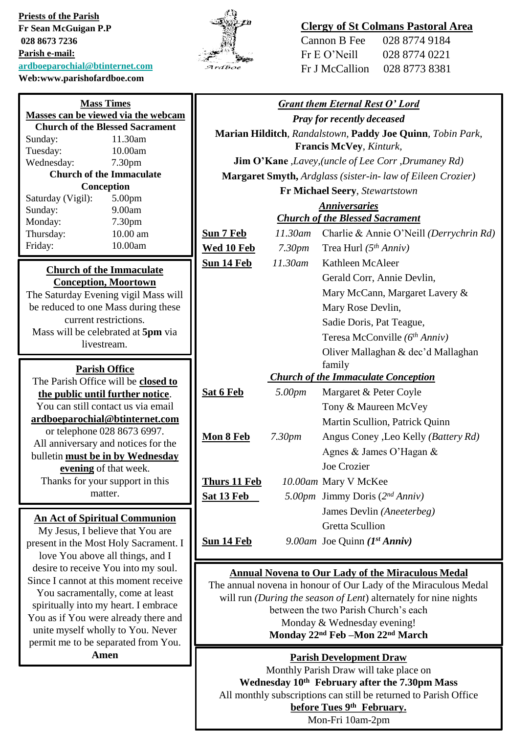**Priests of the Parish Fr Sean McGuigan P.P 028 8673 7236 Parish e-mail: [ardboeparochial@btinternet.com](mailto:ardboeparochial@btinternet.com) Web:www.parishofardboe.com**

unite myself wholly to You. Never permit me to be separated from You. **Amen**



# **Clergy of St Colmans Pastoral Area**

Cannon B Fee 028 8774 9184 Fr E O'Neill 028 8774 0221 Fr J McCallion 028 8773 8381

| <b>Mass Times</b>                                                       |                                                                           | <b>Grant them Eternal Rest O' Lord</b>                                                                   |                    |                                                             |
|-------------------------------------------------------------------------|---------------------------------------------------------------------------|----------------------------------------------------------------------------------------------------------|--------------------|-------------------------------------------------------------|
| Masses can be viewed via the webcam                                     |                                                                           | <b>Pray for recently deceased</b>                                                                        |                    |                                                             |
| <b>Church of the Blessed Sacrament</b>                                  |                                                                           |                                                                                                          |                    |                                                             |
| Sunday:                                                                 | 11.30am                                                                   | Marian Hilditch, Randalstown, Paddy Joe Quinn, Tobin Park,                                               |                    |                                                             |
| Tuesday:                                                                | 10.00am                                                                   | Francis McVey, Kinturk,                                                                                  |                    |                                                             |
| Wednesday:                                                              | 7.30pm                                                                    |                                                                                                          |                    | <b>Jim O'Kane</b> , Lavey, (uncle of Lee Corr, Drumaney Rd) |
| <b>Church of the Immaculate</b>                                         |                                                                           | Margaret Smyth, Ardglass (sister-in-law of Eileen Crozier)                                               |                    |                                                             |
| Conception<br>Saturday (Vigil):<br>5.00pm                               |                                                                           |                                                                                                          |                    | Fr Michael Seery, Stewartstown                              |
| Sunday:                                                                 | 9.00am                                                                    | <b>Anniversaries</b>                                                                                     |                    |                                                             |
| Monday:                                                                 | 7.30pm                                                                    | <b>Church of the Blessed Sacrament</b>                                                                   |                    |                                                             |
| Thursday:                                                               | 10.00 am                                                                  | Sun 7 Feb                                                                                                |                    | 11.30am Charlie & Annie O'Neill (Derrychrin Rd)             |
| Friday:                                                                 | 10.00am                                                                   | Wed 10 Feb                                                                                               | 7.30 <sub>pm</sub> | Trea Hurl $(5th Anniv)$                                     |
|                                                                         |                                                                           | <b>Sun 14 Feb</b>                                                                                        | 11.30am            | Kathleen McAleer                                            |
| <b>Church of the Immaculate</b><br><b>Conception, Moortown</b>          |                                                                           |                                                                                                          |                    | Gerald Corr, Annie Devlin,                                  |
| The Saturday Evening vigil Mass will                                    |                                                                           |                                                                                                          |                    | Mary McCann, Margaret Lavery &                              |
| be reduced to one Mass during these                                     |                                                                           |                                                                                                          |                    | Mary Rose Devlin,                                           |
| current restrictions.                                                   |                                                                           |                                                                                                          |                    | Sadie Doris, Pat Teague,                                    |
| Mass will be celebrated at 5pm via                                      |                                                                           |                                                                                                          |                    | Teresa McConville (6th Anniv)                               |
| livestream.                                                             |                                                                           |                                                                                                          |                    |                                                             |
|                                                                         |                                                                           |                                                                                                          |                    | Oliver Mallaghan & dec'd Mallaghan                          |
| <b>Parish Office</b>                                                    |                                                                           | family<br><b>Church of the Immaculate Conception</b>                                                     |                    |                                                             |
| The Parish Office will be closed to                                     |                                                                           |                                                                                                          |                    |                                                             |
| the public until further notice.                                        |                                                                           | Sat 6 Feb                                                                                                | 5.00pm             | Margaret & Peter Coyle                                      |
| You can still contact us via email                                      |                                                                           |                                                                                                          |                    | Tony & Maureen McVey                                        |
| ardboeparochial@btinternet.com<br>or telephone 028 8673 6997.           |                                                                           |                                                                                                          |                    | Martin Scullion, Patrick Quinn                              |
|                                                                         |                                                                           | Mon 8 Feb                                                                                                | 7.30 <sub>pm</sub> | Angus Coney ,Leo Kelly (Battery Rd)                         |
| All anniversary and notices for the<br>bulletin must be in by Wednesday |                                                                           |                                                                                                          |                    | Agnes & James O'Hagan &                                     |
| evening of that week.                                                   |                                                                           |                                                                                                          |                    | Joe Crozier                                                 |
|                                                                         | Thanks for your support in this                                           | Thurs 11 Feb                                                                                             |                    | 10.00am Mary V McKee                                        |
|                                                                         | matter.                                                                   | Sat 13 Feb                                                                                               |                    | 5.00pm Jimmy Doris (2nd Anniv)                              |
|                                                                         |                                                                           |                                                                                                          |                    | James Devlin (Aneeterbeg)                                   |
|                                                                         | <b>An Act of Spiritual Communion</b>                                      |                                                                                                          |                    | <b>Gretta Scullion</b>                                      |
|                                                                         | My Jesus, I believe that You are<br>present in the Most Holy Sacrament. I | <b>Sun 14 Feb</b>                                                                                        |                    | 9.00am Joe Quinn $(I^{st} Anniv)$                           |
|                                                                         |                                                                           |                                                                                                          |                    |                                                             |
| love You above all things, and I<br>desire to receive You into my soul. |                                                                           |                                                                                                          |                    |                                                             |
| Since I cannot at this moment receive                                   |                                                                           | <b>Annual Novena to Our Lady of the Miraculous Medal</b>                                                 |                    |                                                             |
| You sacramentally, come at least                                        |                                                                           | The annual novena in honour of Our Lady of the Miraculous Medal                                          |                    |                                                             |
| spiritually into my heart. I embrace                                    |                                                                           | will run (During the season of Lent) alternately for nine nights<br>between the two Parish Church's each |                    |                                                             |
|                                                                         |                                                                           |                                                                                                          |                    |                                                             |
|                                                                         | You as if You were already there and                                      |                                                                                                          |                    | Monday & Wednesday evening!                                 |

**Monday 22nd Feb –Mon 22nd March** 

**Parish Development Draw** Monthly Parish Draw will take place on **Wednesday 10th February after the 7.30pm Mass** All monthly subscriptions can still be returned to Parish Office **before Tues 9th February.** Mon-Fri 10am-2pm